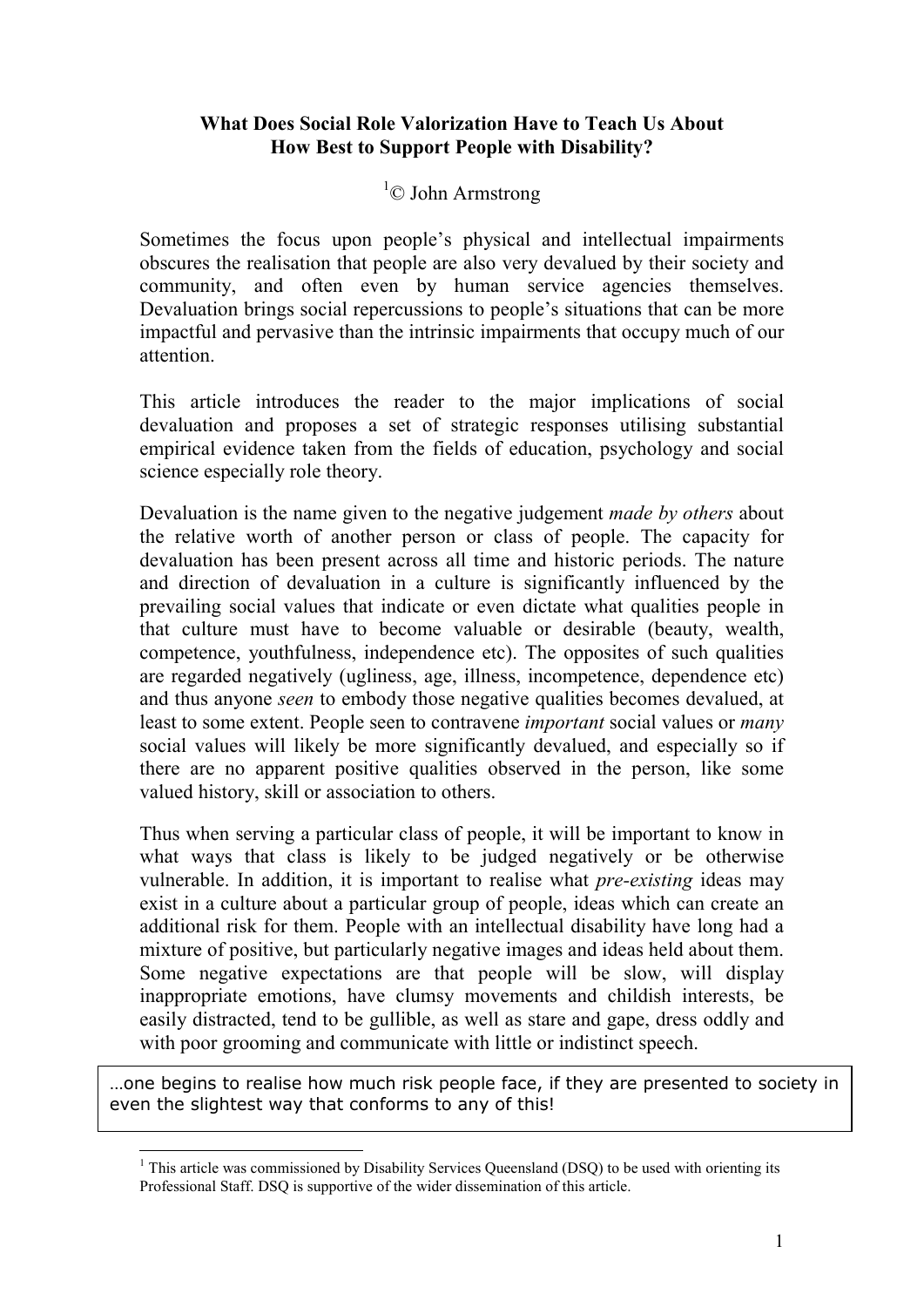## **What Does Social Role Valorization Have to Teach Us About How Best to Support People with Disability?**

## ${}^{1}$ © John Armstrong

Sometimes the focus upon people's physical and intellectual impairments obscures the realisation that people are also very devalued by their society and community, and often even by human service agencies themselves. Devaluation brings social repercussions to people's situations that can be more impactful and pervasive than the intrinsic impairments that occupy much of our attention.

This article introduces the reader to the major implications of social devaluation and proposes a set of strategic responses utilising substantial empirical evidence taken from the fields of education, psychology and social science especially role theory.

Devaluation is the name given to the negative judgement *made by others* about the relative worth of another person or class of people. The capacity for devaluation has been present across all time and historic periods. The nature and direction of devaluation in a culture is significantly influenced by the prevailing social values that indicate or even dictate what qualities people in that culture must have to become valuable or desirable (beauty, wealth, competence, youthfulness, independence etc). The opposites of such qualities are regarded negatively (ugliness, age, illness, incompetence, dependence etc) and thus anyone *seen* to embody those negative qualities becomes devalued, at least to some extent. People seen to contravene *important* social values or *many* social values will likely be more significantly devalued, and especially so if there are no apparent positive qualities observed in the person, like some valued history, skill or association to others.

Thus when serving a particular class of people, it will be important to know in what ways that class is likely to be judged negatively or be otherwise vulnerable. In addition, it is important to realise what *pre-existing* ideas may exist in a culture about a particular group of people, ideas which can create an additional risk for them. People with an intellectual disability have long had a mixture of positive, but particularly negative images and ideas held about them. Some negative expectations are that people will be slow, will display inappropriate emotions, have clumsy movements and childish interests, be easily distracted, tend to be gullible, as well as stare and gape, dress oddly and with poor grooming and communicate with little or indistinct speech.

…one begins to realise how much risk people face, if they are presented to society in even the slightest way that conforms to any of this!

<sup>-</sup><sup>1</sup> This article was commissioned by Disability Services Queensland (DSQ) to be used with orienting its Professional Staff. DSQ is supportive of the wider dissemination of this article.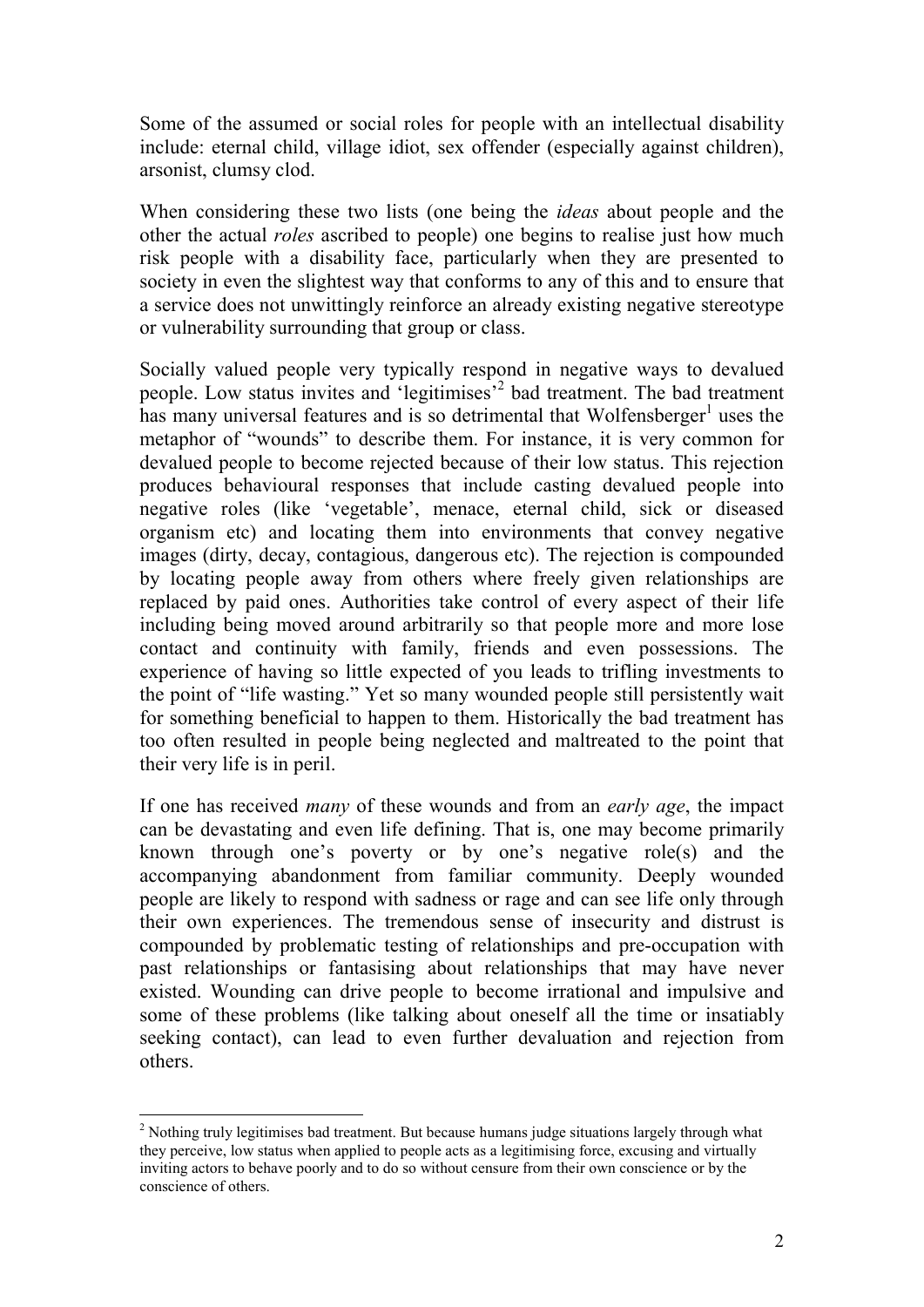Some of the assumed or social roles for people with an intellectual disability include: eternal child, village idiot, sex offender (especially against children), arsonist, clumsy clod.

When considering these two lists (one being the *ideas* about people and the other the actual *roles* ascribed to people) one begins to realise just how much risk people with a disability face, particularly when they are presented to society in even the slightest way that conforms to any of this and to ensure that a service does not unwittingly reinforce an already existing negative stereotype or vulnerability surrounding that group or class.

Socially valued people very typically respond in negative ways to devalued people. Low status invites and 'legitimises'<sup>2</sup> bad treatment. The bad treatment has many universal features and is so detrimental that Wolfensberger<sup>1</sup> uses the metaphor of "wounds" to describe them. For instance, it is very common for devalued people to become rejected because of their low status. This rejection produces behavioural responses that include casting devalued people into negative roles (like 'vegetable', menace, eternal child, sick or diseased organism etc) and locating them into environments that convey negative images (dirty, decay, contagious, dangerous etc). The rejection is compounded by locating people away from others where freely given relationships are replaced by paid ones. Authorities take control of every aspect of their life including being moved around arbitrarily so that people more and more lose contact and continuity with family, friends and even possessions. The experience of having so little expected of you leads to trifling investments to the point of "life wasting." Yet so many wounded people still persistently wait for something beneficial to happen to them. Historically the bad treatment has too often resulted in people being neglected and maltreated to the point that their very life is in peril.

If one has received *many* of these wounds and from an *early age*, the impact can be devastating and even life defining. That is, one may become primarily known through one's poverty or by one's negative role(s) and the accompanying abandonment from familiar community. Deeply wounded people are likely to respond with sadness or rage and can see life only through their own experiences. The tremendous sense of insecurity and distrust is compounded by problematic testing of relationships and pre-occupation with past relationships or fantasising about relationships that may have never existed. Wounding can drive people to become irrational and impulsive and some of these problems (like talking about oneself all the time or insatiably seeking contact), can lead to even further devaluation and rejection from others.

-

 $2$  Nothing truly legitimises bad treatment. But because humans judge situations largely through what they perceive, low status when applied to people acts as a legitimising force, excusing and virtually inviting actors to behave poorly and to do so without censure from their own conscience or by the conscience of others.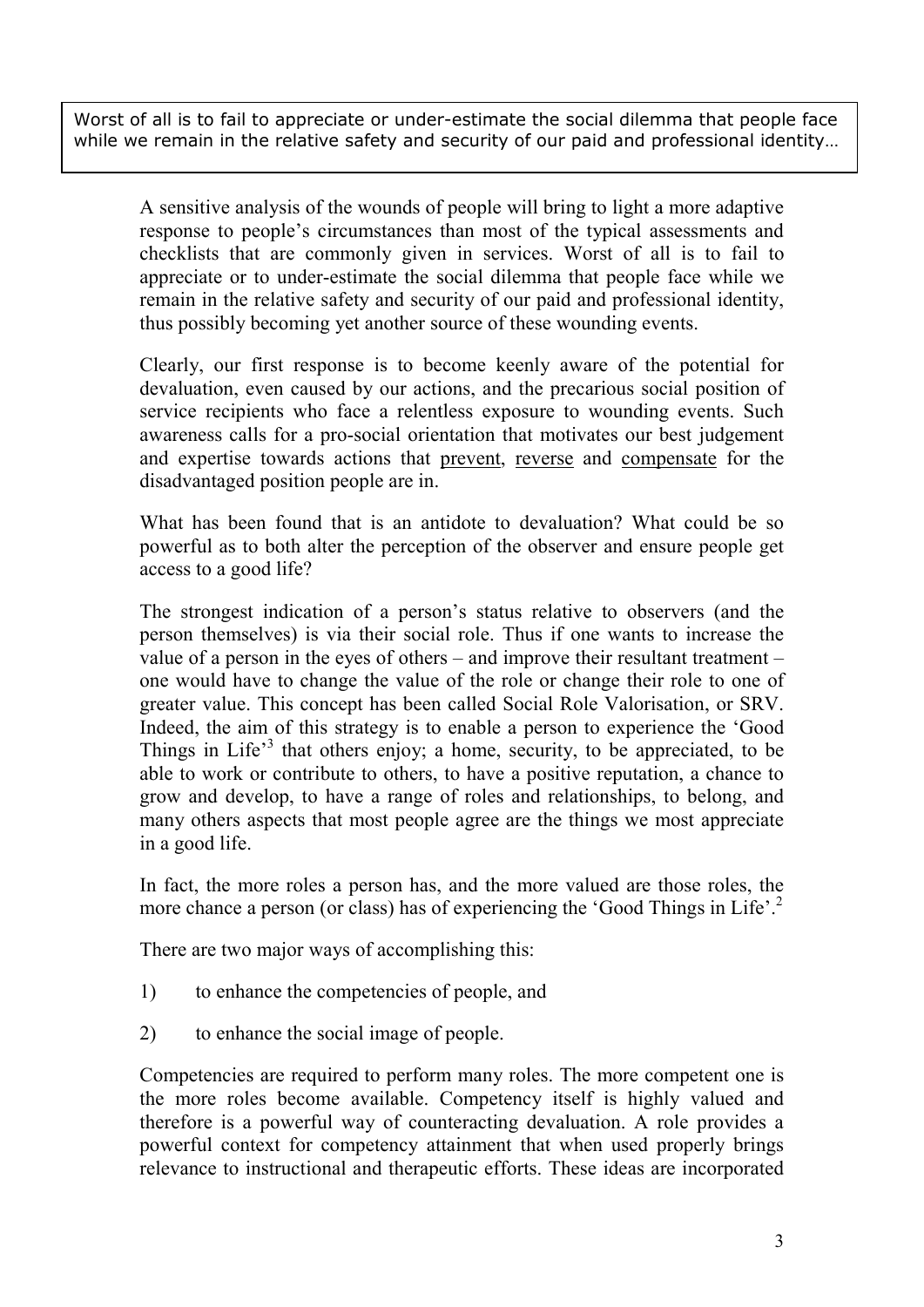Worst of all is to fail to appreciate or under-estimate the social dilemma that people face while we remain in the relative safety and security of our paid and professional identity…

A sensitive analysis of the wounds of people will bring to light a more adaptive response to people's circumstances than most of the typical assessments and checklists that are commonly given in services. Worst of all is to fail to appreciate or to under-estimate the social dilemma that people face while we remain in the relative safety and security of our paid and professional identity, thus possibly becoming yet another source of these wounding events.

Clearly, our first response is to become keenly aware of the potential for devaluation, even caused by our actions, and the precarious social position of service recipients who face a relentless exposure to wounding events. Such awareness calls for a pro-social orientation that motivates our best judgement and expertise towards actions that prevent, reverse and compensate for the disadvantaged position people are in.

What has been found that is an antidote to devaluation? What could be so powerful as to both alter the perception of the observer and ensure people get access to a good life?

The strongest indication of a person's status relative to observers (and the person themselves) is via their social role. Thus if one wants to increase the value of a person in the eyes of others – and improve their resultant treatment – one would have to change the value of the role or change their role to one of greater value. This concept has been called Social Role Valorisation, or SRV. Indeed, the aim of this strategy is to enable a person to experience the 'Good Things in Life<sup>3</sup> that others enjoy; a home, security, to be appreciated, to be able to work or contribute to others, to have a positive reputation, a chance to grow and develop, to have a range of roles and relationships, to belong, and many others aspects that most people agree are the things we most appreciate in a good life.

In fact, the more roles a person has, and the more valued are those roles, the more chance a person (or class) has of experiencing the 'Good Things in Life'.<sup>2</sup>

There are two major ways of accomplishing this:

- 1) to enhance the competencies of people, and
- 2) to enhance the social image of people.

Competencies are required to perform many roles. The more competent one is the more roles become available. Competency itself is highly valued and therefore is a powerful way of counteracting devaluation. A role provides a powerful context for competency attainment that when used properly brings relevance to instructional and therapeutic efforts. These ideas are incorporated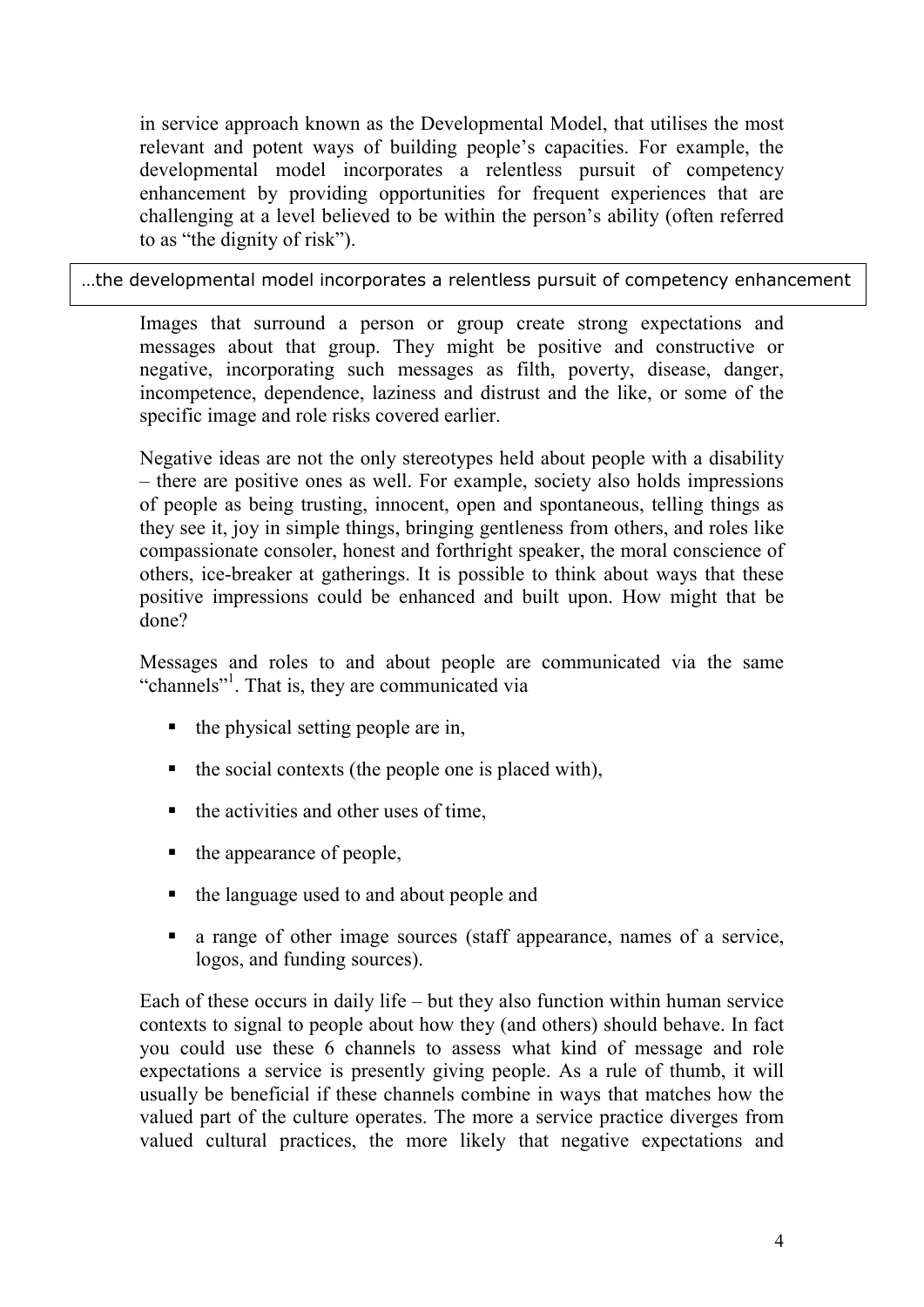in service approach known as the Developmental Model, that utilises the most relevant and potent ways of building people's capacities. For example, the developmental model incorporates a relentless pursuit of competency enhancement by providing opportunities for frequent experiences that are challenging at a level believed to be within the person's ability (often referred to as "the dignity of risk").

…the developmental model incorporates a relentless pursuit of competency enhancement

Images that surround a person or group create strong expectations and messages about that group. They might be positive and constructive or negative, incorporating such messages as filth, poverty, disease, danger, incompetence, dependence, laziness and distrust and the like, or some of the specific image and role risks covered earlier.

Negative ideas are not the only stereotypes held about people with a disability – there are positive ones as well. For example, society also holds impressions of people as being trusting, innocent, open and spontaneous, telling things as they see it, joy in simple things, bringing gentleness from others, and roles like compassionate consoler, honest and forthright speaker, the moral conscience of others, ice-breaker at gatherings. It is possible to think about ways that these positive impressions could be enhanced and built upon. How might that be done?

Messages and roles to and about people are communicated via the same "channels"<sup>1</sup>. That is, they are communicated via

- $\blacksquare$  the physical setting people are in,
- $\blacksquare$  the social contexts (the people one is placed with),
- $\blacksquare$  the activities and other uses of time.
- $\blacksquare$  the appearance of people,
- the language used to and about people and
- a range of other image sources (staff appearance, names of a service, logos, and funding sources).

Each of these occurs in daily life – but they also function within human service contexts to signal to people about how they (and others) should behave. In fact you could use these 6 channels to assess what kind of message and role expectations a service is presently giving people. As a rule of thumb, it will usually be beneficial if these channels combine in ways that matches how the valued part of the culture operates. The more a service practice diverges from valued cultural practices, the more likely that negative expectations and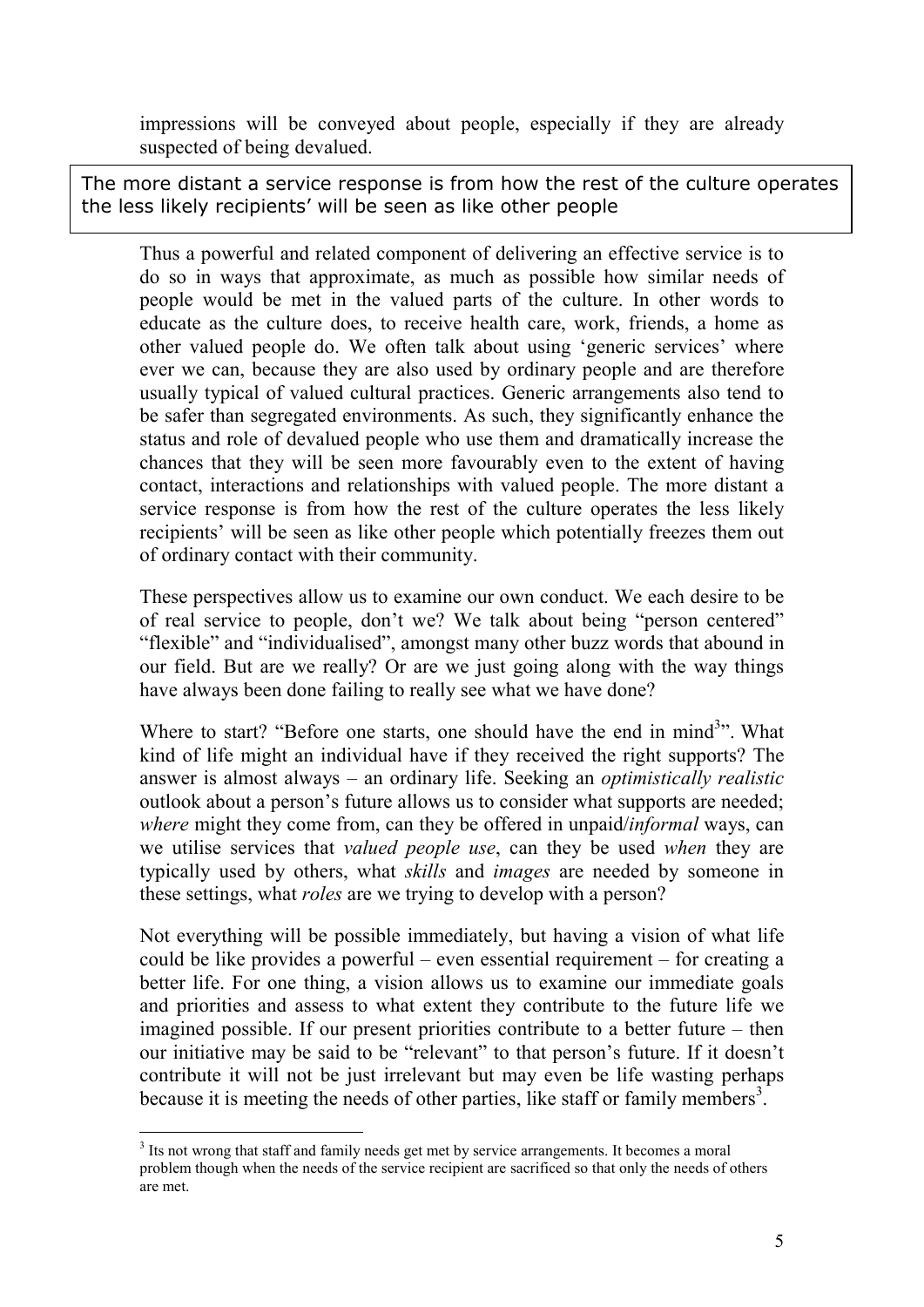impressions will be conveyed about people, especially if they are already suspected of being devalued.

The more distant a service response is from how the rest of the culture operates the less likely recipients' will be seen as like other people

Thus a powerful and related component of delivering an effective service is to do so in ways that approximate, as much as possible how similar needs of people would be met in the valued parts of the culture. In other words to educate as the culture does, to receive health care, work, friends, a home as other valued people do. We often talk about using 'generic services' where ever we can, because they are also used by ordinary people and are therefore usually typical of valued cultural practices. Generic arrangements also tend to be safer than segregated environments. As such, they significantly enhance the status and role of devalued people who use them and dramatically increase the chances that they will be seen more favourably even to the extent of having contact, interactions and relationships with valued people. The more distant a service response is from how the rest of the culture operates the less likely recipients' will be seen as like other people which potentially freezes them out of ordinary contact with their community.

These perspectives allow us to examine our own conduct. We each desire to be of real service to people, don't we? We talk about being "person centered" "flexible" and "individualised", amongst many other buzz words that abound in our field. But are we really? Or are we just going along with the way things have always been done failing to really see what we have done?

Where to start? "Before one starts, one should have the end in mind<sup>3</sup>". What kind of life might an individual have if they received the right supports? The answer is almost always – an ordinary life. Seeking an *optimistically realistic* outlook about a person's future allows us to consider what supports are needed; *where* might they come from, can they be offered in unpaid/*informal* ways, can we utilise services that *valued people use*, can they be used *when* they are typically used by others, what *skills* and *images* are needed by someone in these settings, what *roles* are we trying to develop with a person?

Not everything will be possible immediately, but having a vision of what life could be like provides a powerful – even essential requirement – for creating a better life. For one thing, a vision allows us to examine our immediate goals and priorities and assess to what extent they contribute to the future life we imagined possible. If our present priorities contribute to a better future – then our initiative may be said to be "relevant" to that person's future. If it doesn't contribute it will not be just irrelevant but may even be life wasting perhaps because it is meeting the needs of other parties, like staff or family members<sup>3</sup>.

<sup>-</sup><sup>3</sup> Its not wrong that staff and family needs get met by service arrangements. It becomes a moral problem though when the needs of the service recipient are sacrificed so that only the needs of others are met.